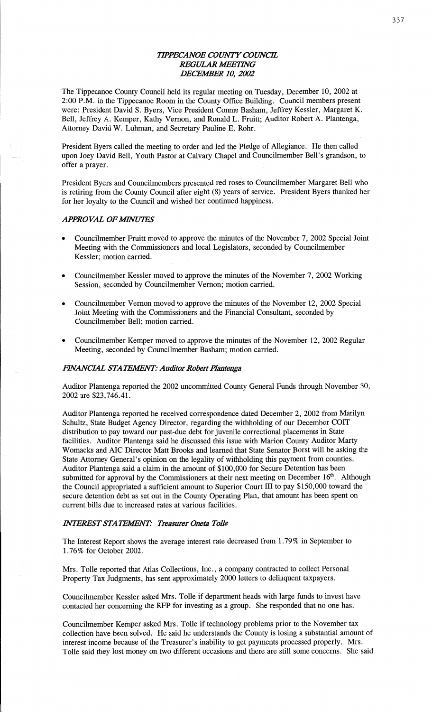# **TIPPECANOE COUNTY COUNCIL REGULAR MEETING** *DECEABER* 10, *2002*

The Tippecanoe **County** Council held its regular meeting on Tuesday, December 10, 2002 at **2:00** P.M. in the Tippecanoe **Room** in the County Office Building. Council members present were: President **David** S. Byers, Vice President **Comic Basham,** Jeffrey Kessler, Margaret K. *'*  Bell, Jeffrey A. Kemper, Kathy Vernon, and Ronald L. Fruitt; Auditor Robert A. **Plantenga,**  Attorney David W. Luhman, and Secretary Pauline E. Rohr.

President Byers **called** the **meeting** to order and led the Pledge of **Allegiance.** He then called **upon** Joey David **Bell,** Youth Pastor at **Calvary Chapel** and Councilmember Bell's **grandson,** to offer a prayer.

President Byers and **Councilmembers** presented red roses to **Councilmember** Margaret Bell who is retiring from the **County** Council **after** eight (8) years of **service.** President Byers **thanked** her for her loyalty to the Council and wished her continued **happiness.** 

### *APPROVAL OF MINUTES*

- **o** Councilmember Fruitt moved to approve the **minutes** of the November 7, 2002 Special Joint Meeting with the Commissioners and local Legislators, seconded by Councilmember Kessler; motion carried.
- **0 Councilmember** Kessler **moved** to **approve** the minutes of the **November** 7, 2002 Working **Session,** seconded by **Councilmember Vernon; motion** carried.
- **0** Councilmember Vernon moved to approve the minutes of the November 12, 2002 **Special**  Joint Meeting with the **Commissioners** and the **Financial Consultant,** seconded by Councilmember Bell; motion carried.
- **0** Councilmember Kemper moved to approve the minutes of the November 12, 2002 Regular Meeting, seconded by Councilmember **Basham;** motion carried.

#### *EVANCML* STA *T EAENT: Auditor Robert Plantanga*

Auditor Plantenga reported the 2002 uncommitted County General Funds through November 30, 2002 are \$23,746.41.

Auditor Plantenga reported he received correspondence dated December 2, 2002 from Marilyn Schultz, **State** Budget Agency Director, regarding the withholding of our December **COIT distribution** to pay toward our past-due debt for juvenile correctional placements in State **facilities.** Auditor Plantenga said he **discussed** this **issue** with Marion County Auditor Marty Womacks and AIC Director Matt Brooks and learned that State Senator Borst will be **asking** the State Attorney **General's** opinion on the legality of withholding this payment from counties. Auditor **Plantenga** said a **claim** in the **amount** of \$100,000 for Secure Detention has been submitted for approval by the Commissioners at their next meeting on December **16'".** Although the Council appropriated a sufficient amount to Superior Court 111 to pay \$150,000 toward the secure detention debt as set out in the County Operating Plan, that amount has been spent on current bills due to increased rates at various facilities.

#### *HNTEREST STATEMENT: Treasurer Oneta Tolle*

The Interest **Report** shows the average interest rate decreased from **1.79%** in September to 1.76% for October 2002.

Mrs. Tolle reported that Atlas Collections, Inc. *,* **a** company **contracted** to collect Personal Property Tax Judgments, has sent approximately 2000 letters to delinquent **taxpayers.** 

Councilmember Kessler asked Mrs. **Tolle** if department heads with large funds to **invest have**  contacted her concerning the RFP for investing as a group. She responded that no one has.

Councihnember Kemper asked Mrs. Tolle if technology problems prior to the November tax collection have been solved. He **said** he understands the County is losing **a** substantial amount of **interest income** because of the Treasurer's inability to get payments processed properly. Mrs. Tolle **said** they **lost money** on two different occasions and **there** are still **some** concerns. She said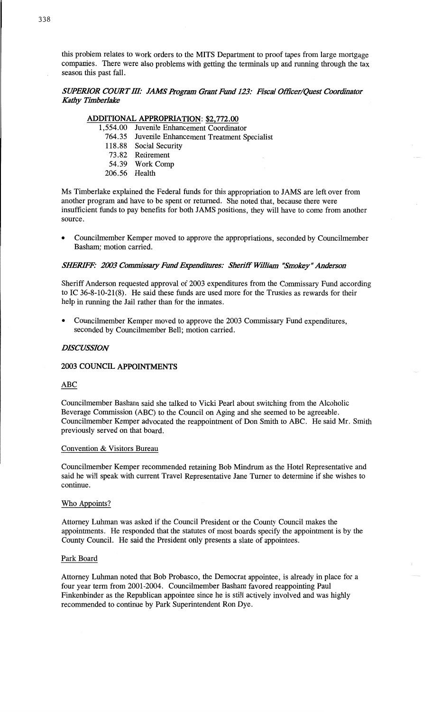**this** problem relates to work orders to the **MITS** Department to **proof** tapes from large mortgage **companies.** There were also problems with getting the terminals up and running through the tax season **this** past fall.

# *SUPERIOR COURT III: JAMS Program Grant Fund 123: Fiscal Officer/Quest Coordinator Kathy Timberlakc*

# **ADDITIONAL APPROPRIATION:** \$2,772.00

- 1,554.00 Juvenile **Enhancement** Coordinator 764.35 Juvenile Enhancement Treatment Specialist
	- 118.88 Social Security
	- **73.82** Retirement
	- 54.39 Work **Comp**
	- 206.56 Health

Ms Timberlake **explained** the Federal **funds** for **this** appropriation to JAMS are left over from **another** program and have to be spent or **returned.** She noted that, because **there** were insufficient funds to pay benefits for both JAMS positions, they will have to come from another source.

**0** Councilmember Kemper **moved** to approve the **appropriations,** seconded by **Councilmember**  Basham; **motion** carried.

# *SHERIFF: 2003 Commissary Fund Expenditures: Sheriff William "Smokey" Anderson*

Sheriff Anderson requested **approval** of 2003 expenditures from the Commissary Fund according to IC 36-8-10—21(8). He said these funds are used more for the **Trusties** as rewards for their **help** in running the Jail rather **than** for the **inmates.** 

**0** Councilmember Kemper moved to approve the 2003 **Commissary Fund expenditures,**  seconded by **Councilmember Bell; motion carried.** 

### *DISCUSSION*

# **2003 COUNCIL APPOINTMENTS**

#### ABC

Councilmember **Basham** said she talked to **Vicki** Pearl about **switching** from the Alcoholic Beverage **Commission** (ABC) to the Council on Aging and she **seemed** to be **agreeable.**  Councilmember Kemper advocated the reappointment of Don **Smith** to **ABC.** He said Mr. **Smith**  previously served on that board.

#### **Convention** & Visitors Bureau

Councilmember Kemper recommended retaining Bob Mindrum as the Hotel Representative and **said** he will **speak** with current Travel **Representative** Jane **Turner** to **determine** if she wishes to continue.

#### Who Appoints?

Attorney Luhman was asked if the Council President or the County Council **makes** the **appointments.** He responded that the statutes of most **boards specify** the **appointment** is by the County Council. He said the **President only** presents **a slate** of appointees.

#### **Park** Board

Attorney **Luhman** noted that Bob Probasco, the **Democrat** appointee, is already in **place** for **a**  four year term from 2001-2004. Councilmember Basham favored reappointing Paul **Finkenbinder** as the Republican appointee since he is still actively involved and was **highly**  recommended to **continue** by **Park** Superintendent Ron Dye.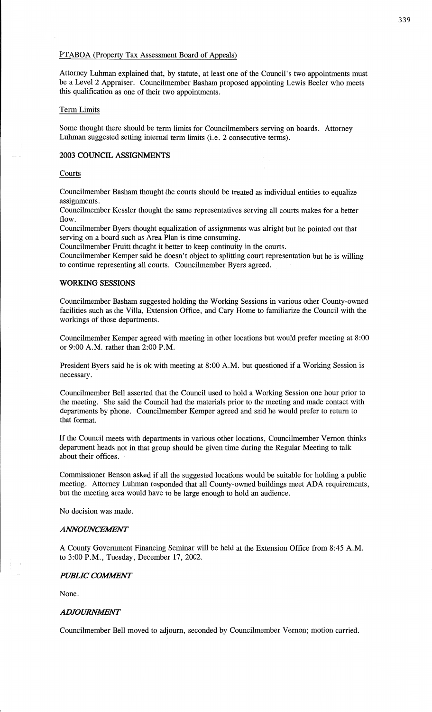### **FFABOA** (Property Tax **Assessment** Board of Appeals)

Attorney Luhman **explained** that, by statute, at least one of the **Council's** two **appointments** must be a Level **2** Appraiser. **Councilmember Basham** proposed **appointing** Lewis Beeler who meets this qualification as one of **their** two appointments.

#### Term **Limits**

**Some** thought there **should** be **term limits** for Councilmembers **serving** on boards. **Attorney Luhman** suggested setting **internal term limits** (i.e. **2 consecutive** terms).

### **2003 COUNCIL ASSIGNMENTS**

#### **Courts**

Councilmember Basham thought the courts should be treated as **individual** entities to equalize assignments.

Councilmember Kessler thought the same representatives serving all courts makes for **a** better flow.

Councilmember Byers thought equalization of assignments was alright but he **pointed** out that serving on **a** board **such** as Area Plan is **time** consuming.

Councilmember Fruitt thought it better to keep continuity in the courts.

Councilmember Kemper said he doesn't object to splitting court **representation** but he is willing to continue representing all **courts.** Councilmember Byers agreed.

# **WORKING SESSIONS**

Councilmember Basham suggested holding the Working **Sessions** in various **other** County-owned facilities such as the Villa, Extension Office, and Cary **Home** to familiarize the Council with the workings of those departments.

Councilmember Kemper agreed with meeting in other locations but would prefer meeting at 8:00 or 9:00 A.M. rather **than** 2:00 P.M.

President Byers **said** he is ok with meeting at 8:00 **A.M.** but questioned if a Working Session .is necessary.

Councilmember Bell **asserted that** the Council **used** to hold a Working Session one hour prior to the **meeting.** She said the Council had the materials prior to the meeting and **made** contact with **departments** by phone. Councilmember Kemper agreed and **said** he would prefer to return to that **format.** 

If the Council meets with **departments** in **various** other locations, **Councilmember** Vernon **thinks department** heads not in **that** group **should** be given time **during** the Regular Meeting to **talk**  about **their** offices. **~** 

**Commissioner Benson asked** if all the suggested locations would be suitable for holding **a** public meeting. Attorney **Luhman** responded that all County-owned **buildings meet** ADA requirements, but the meeting **area** would have to be large enough to hold an audience.

No decision was made.

#### *ANNOWCEAENT*

**A** County Government Financing Seminar will be held at the Extension Office from 8:45 A.M. to 3:00 *P.M.,* **Tuesday, December** 17, 2002.

#### **PUBLIC COMMENT**

None *.* 

#### **ADJOURNMENT**

**Councilmember** Bell **moved** to **adjourn, seconded** by **Councilmember Vernon;** motion carried.